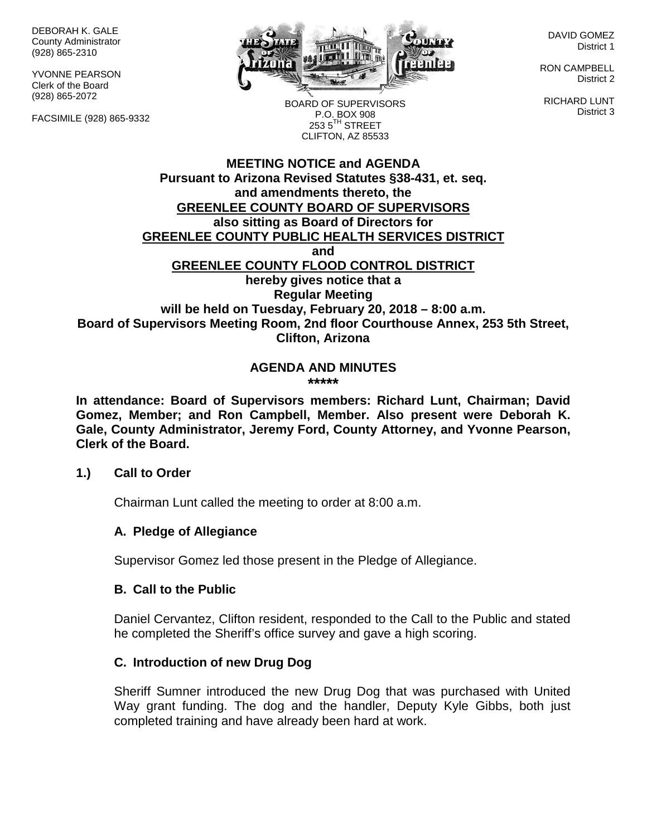DEBORAH K. GALE County Administrator (928) 865-2310

YVONNE PEARSON Clerk of the Board (928) 865-2072

FACSIMILE (928) 865-9332



DAVID GOMEZ District 1

RON CAMPBELL District 2

RICHARD LUNT District 3

BOARD OF SUPERVISORS P.O. BOX 908  $253.5$ <sup>TH</sup> STREET CLIFTON, AZ 85533

## **MEETING NOTICE and AGENDA Pursuant to Arizona Revised Statutes §38-431, et. seq. and amendments thereto, the GREENLEE COUNTY BOARD OF SUPERVISORS also sitting as Board of Directors for GREENLEE COUNTY PUBLIC HEALTH SERVICES DISTRICT and GREENLEE COUNTY FLOOD CONTROL DISTRICT hereby gives notice that a Regular Meeting will be held on Tuesday, February 20, 2018 – 8:00 a.m. Board of Supervisors Meeting Room, 2nd floor Courthouse Annex, 253 5th Street, Clifton, Arizona**

#### **AGENDA AND MINUTES \*\*\*\*\***

**In attendance: Board of Supervisors members: Richard Lunt, Chairman; David Gomez, Member; and Ron Campbell, Member. Also present were Deborah K. Gale, County Administrator, Jeremy Ford, County Attorney, and Yvonne Pearson, Clerk of the Board.**

## **1.) Call to Order**

Chairman Lunt called the meeting to order at 8:00 a.m.

## **A. Pledge of Allegiance**

Supervisor Gomez led those present in the Pledge of Allegiance.

#### **B. Call to the Public**

Daniel Cervantez, Clifton resident, responded to the Call to the Public and stated he completed the Sheriff's office survey and gave a high scoring.

## **C. Introduction of new Drug Dog**

Sheriff Sumner introduced the new Drug Dog that was purchased with United Way grant funding. The dog and the handler, Deputy Kyle Gibbs, both just completed training and have already been hard at work.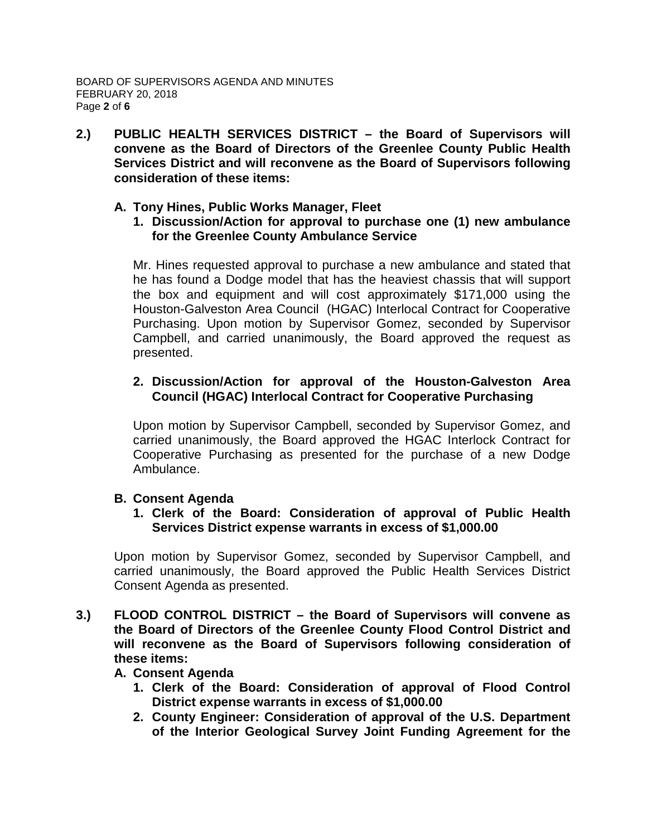**2.) PUBLIC HEALTH SERVICES DISTRICT – the Board of Supervisors will convene as the Board of Directors of the Greenlee County Public Health Services District and will reconvene as the Board of Supervisors following consideration of these items:**

#### **A. Tony Hines, Public Works Manager, Fleet**

**1. Discussion/Action for approval to purchase one (1) new ambulance for the Greenlee County Ambulance Service**

Mr. Hines requested approval to purchase a new ambulance and stated that he has found a Dodge model that has the heaviest chassis that will support the box and equipment and will cost approximately \$171,000 using the Houston-Galveston Area Council (HGAC) Interlocal Contract for Cooperative Purchasing. Upon motion by Supervisor Gomez, seconded by Supervisor Campbell, and carried unanimously, the Board approved the request as presented.

## **2. Discussion/Action for approval of the Houston-Galveston Area Council (HGAC) Interlocal Contract for Cooperative Purchasing**

Upon motion by Supervisor Campbell, seconded by Supervisor Gomez, and carried unanimously, the Board approved the HGAC Interlock Contract for Cooperative Purchasing as presented for the purchase of a new Dodge Ambulance.

## **B. Consent Agenda**

**1. Clerk of the Board: Consideration of approval of Public Health Services District expense warrants in excess of \$1,000.00**

Upon motion by Supervisor Gomez, seconded by Supervisor Campbell, and carried unanimously, the Board approved the Public Health Services District Consent Agenda as presented.

**3.) FLOOD CONTROL DISTRICT – the Board of Supervisors will convene as the Board of Directors of the Greenlee County Flood Control District and will reconvene as the Board of Supervisors following consideration of these items:**

#### **A. Consent Agenda**

- **1. Clerk of the Board: Consideration of approval of Flood Control District expense warrants in excess of \$1,000.00**
- **2. County Engineer: Consideration of approval of the U.S. Department of the Interior Geological Survey Joint Funding Agreement for the**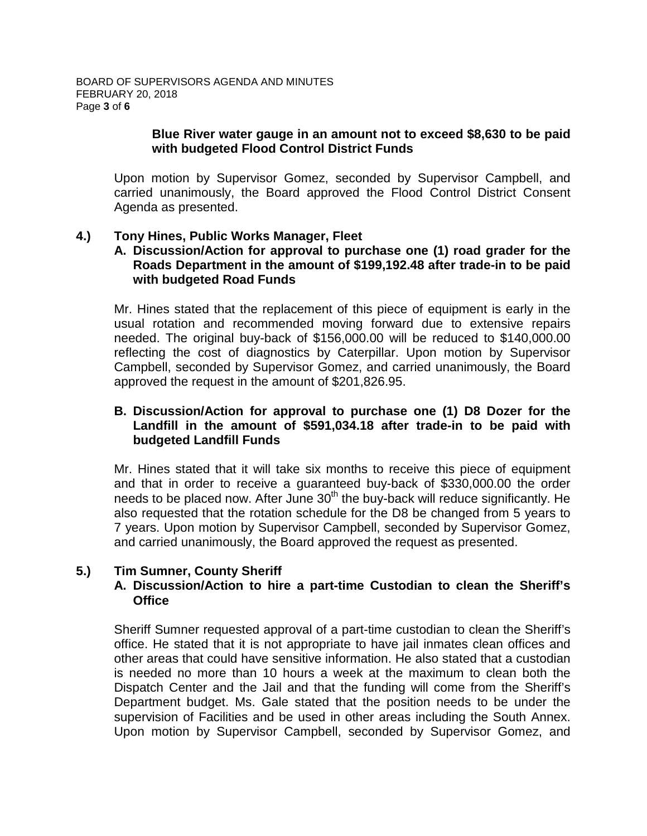#### **Blue River water gauge in an amount not to exceed \$8,630 to be paid with budgeted Flood Control District Funds**

Upon motion by Supervisor Gomez, seconded by Supervisor Campbell, and carried unanimously, the Board approved the Flood Control District Consent Agenda as presented.

#### **4.) Tony Hines, Public Works Manager, Fleet**

## **A. Discussion/Action for approval to purchase one (1) road grader for the Roads Department in the amount of \$199,192.48 after trade-in to be paid with budgeted Road Funds**

Mr. Hines stated that the replacement of this piece of equipment is early in the usual rotation and recommended moving forward due to extensive repairs needed. The original buy-back of \$156,000.00 will be reduced to \$140,000.00 reflecting the cost of diagnostics by Caterpillar. Upon motion by Supervisor Campbell, seconded by Supervisor Gomez, and carried unanimously, the Board approved the request in the amount of \$201,826.95.

#### **B. Discussion/Action for approval to purchase one (1) D8 Dozer for the Landfill in the amount of \$591,034.18 after trade-in to be paid with budgeted Landfill Funds**

Mr. Hines stated that it will take six months to receive this piece of equipment and that in order to receive a guaranteed buy-back of \$330,000.00 the order needs to be placed now. After June  $30<sup>th</sup>$  the buy-back will reduce significantly. He also requested that the rotation schedule for the D8 be changed from 5 years to 7 years. Upon motion by Supervisor Campbell, seconded by Supervisor Gomez, and carried unanimously, the Board approved the request as presented.

## **5.) Tim Sumner, County Sheriff**

## **A. Discussion/Action to hire a part-time Custodian to clean the Sheriff's Office**

Sheriff Sumner requested approval of a part-time custodian to clean the Sheriff's office. He stated that it is not appropriate to have jail inmates clean offices and other areas that could have sensitive information. He also stated that a custodian is needed no more than 10 hours a week at the maximum to clean both the Dispatch Center and the Jail and that the funding will come from the Sheriff's Department budget. Ms. Gale stated that the position needs to be under the supervision of Facilities and be used in other areas including the South Annex. Upon motion by Supervisor Campbell, seconded by Supervisor Gomez, and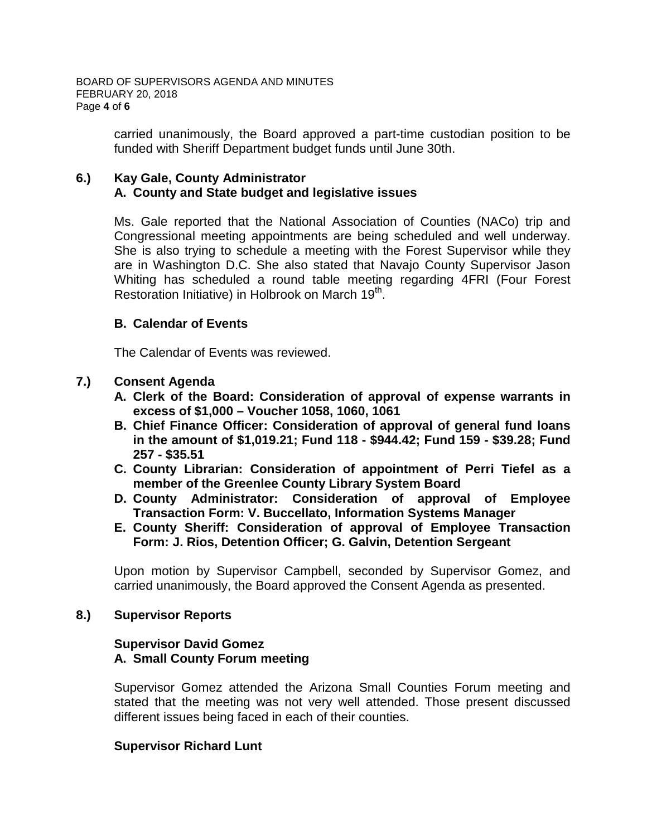carried unanimously, the Board approved a part-time custodian position to be funded with Sheriff Department budget funds until June 30th.

## **6.) Kay Gale, County Administrator A. County and State budget and legislative issues**

Ms. Gale reported that the National Association of Counties (NACo) trip and Congressional meeting appointments are being scheduled and well underway. She is also trying to schedule a meeting with the Forest Supervisor while they are in Washington D.C. She also stated that Navajo County Supervisor Jason Whiting has scheduled a round table meeting regarding 4FRI (Four Forest Restoration Initiative) in Holbrook on March 19<sup>th</sup>.

## **B. Calendar of Events**

The Calendar of Events was reviewed.

## **7.) Consent Agenda**

- **A. Clerk of the Board: Consideration of approval of expense warrants in excess of \$1,000 – Voucher 1058, 1060, 1061**
- **B. Chief Finance Officer: Consideration of approval of general fund loans in the amount of \$1,019.21; Fund 118 - \$944.42; Fund 159 - \$39.28; Fund 257 - \$35.51**
- **C. County Librarian: Consideration of appointment of Perri Tiefel as a member of the Greenlee County Library System Board**
- **D. County Administrator: Consideration of approval of Employee Transaction Form: V. Buccellato, Information Systems Manager**
- **E. County Sheriff: Consideration of approval of Employee Transaction Form: J. Rios, Detention Officer; G. Galvin, Detention Sergeant**

Upon motion by Supervisor Campbell, seconded by Supervisor Gomez, and carried unanimously, the Board approved the Consent Agenda as presented.

## **8.) Supervisor Reports**

#### **Supervisor David Gomez A. Small County Forum meeting**

Supervisor Gomez attended the Arizona Small Counties Forum meeting and stated that the meeting was not very well attended. Those present discussed different issues being faced in each of their counties.

## **Supervisor Richard Lunt**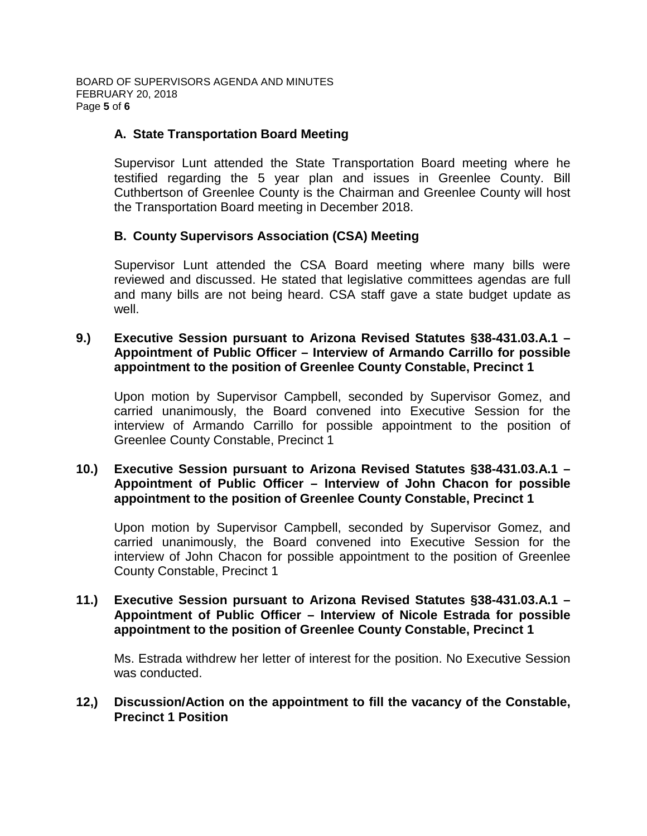# **A. State Transportation Board Meeting**

Supervisor Lunt attended the State Transportation Board meeting where he testified regarding the 5 year plan and issues in Greenlee County. Bill Cuthbertson of Greenlee County is the Chairman and Greenlee County will host the Transportation Board meeting in December 2018.

## **B. County Supervisors Association (CSA) Meeting**

Supervisor Lunt attended the CSA Board meeting where many bills were reviewed and discussed. He stated that legislative committees agendas are full and many bills are not being heard. CSA staff gave a state budget update as well.

#### **9.) Executive Session pursuant to Arizona Revised Statutes §38-431.03.A.1 – Appointment of Public Officer – Interview of Armando Carrillo for possible appointment to the position of Greenlee County Constable, Precinct 1**

Upon motion by Supervisor Campbell, seconded by Supervisor Gomez, and carried unanimously, the Board convened into Executive Session for the interview of Armando Carrillo for possible appointment to the position of Greenlee County Constable, Precinct 1

## **10.) Executive Session pursuant to Arizona Revised Statutes §38-431.03.A.1 – Appointment of Public Officer – Interview of John Chacon for possible appointment to the position of Greenlee County Constable, Precinct 1**

Upon motion by Supervisor Campbell, seconded by Supervisor Gomez, and carried unanimously, the Board convened into Executive Session for the interview of John Chacon for possible appointment to the position of Greenlee County Constable, Precinct 1

#### **11.) Executive Session pursuant to Arizona Revised Statutes §38-431.03.A.1 – Appointment of Public Officer – Interview of Nicole Estrada for possible appointment to the position of Greenlee County Constable, Precinct 1**

Ms. Estrada withdrew her letter of interest for the position. No Executive Session was conducted.

## **12,) Discussion/Action on the appointment to fill the vacancy of the Constable, Precinct 1 Position**